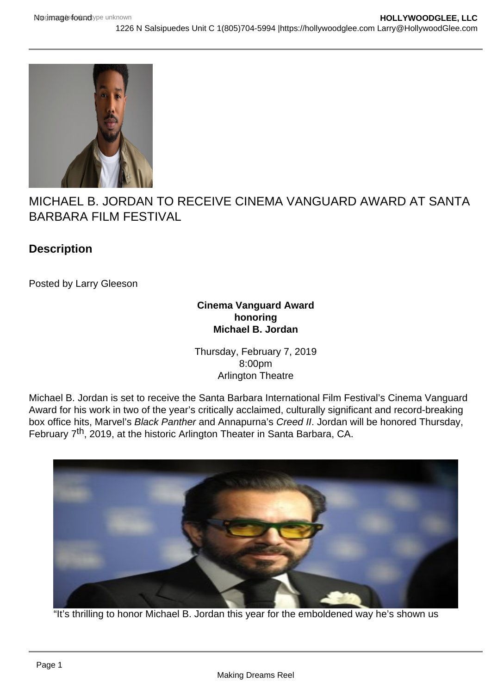

MICHAEL B. JORDAN TO RECEIVE CINEMA VANGUARD AWARD AT SANTA BARBARA FILM FESTIVAL

## **Description**

Posted by Larry Gleeson

#### **Cinema Vanguard Award honoring Michael B. Jordan**

Thursday, February 7, 2019 8:00pm Arlington Theatre

Michael B. Jordan is set to receive the Santa Barbara International Film Festival's Cinema Vanguard Award for his work in two of the year's critically acclaimed, culturally significant and record-breaking box office hits, Marvel's Black Panther and Annapurna's Creed II. Jordan will be honored Thursday, February 7th, 2019, at the historic Arlington Theater in Santa Barbara, CA.



"It's thrilling to honor Michael B. Jordan this year for the emboldened way he's shown us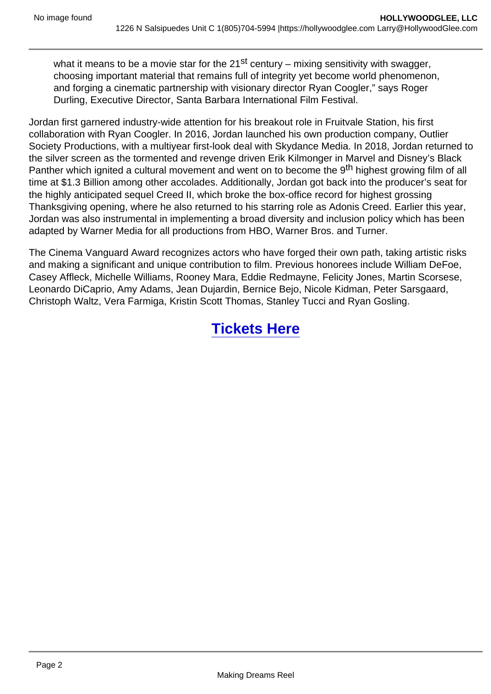what it means to be a movie star for the  $21^{st}$  century – mixing sensitivity with swagger, choosing important material that remains full of integrity yet become world phenomenon, and forging a cinematic partnership with visionary director Ryan Coogler," says Roger Durling, Executive Director, Santa Barbara International Film Festival.

Jordan first garnered industry-wide attention for his breakout role in Fruitvale Station, his first collaboration with Ryan Coogler. In 2016, Jordan launched his own production company, Outlier Society Productions, with a multiyear first-look deal with Skydance Media. In 2018, Jordan returned to the silver screen as the tormented and revenge driven Erik Kilmonger in Marvel and Disney's Black Panther which ignited a cultural movement and went on to become the 9<sup>th</sup> highest growing film of all time at \$1.3 Billion among other accolades. Additionally, Jordan got back into the producer's seat for the highly anticipated sequel Creed II, which broke the box-office record for highest grossing Thanksgiving opening, where he also returned to his starring role as Adonis Creed. Earlier this year, Jordan was also instrumental in implementing a broad diversity and inclusion policy which has been adapted by Warner Media for all productions from HBO, Warner Bros. and Turner.

The Cinema Vanguard Award recognizes actors who have forged their own path, taking artistic risks and making a significant and unique contribution to film. Previous honorees include William DeFoe, Casey Affleck, Michelle Williams, Rooney Mara, Eddie Redmayne, Felicity Jones, Martin Scorsese, Leonardo DiCaprio, Amy Adams, Jean Dujardin, Bernice Bejo, Nicole Kidman, Peter Sarsgaard, Christoph Waltz, Vera Farmiga, Kristin Scott Thomas, Stanley Tucci and Ryan Gosling.

# [Tickets Here](https://givebox.com/1035)